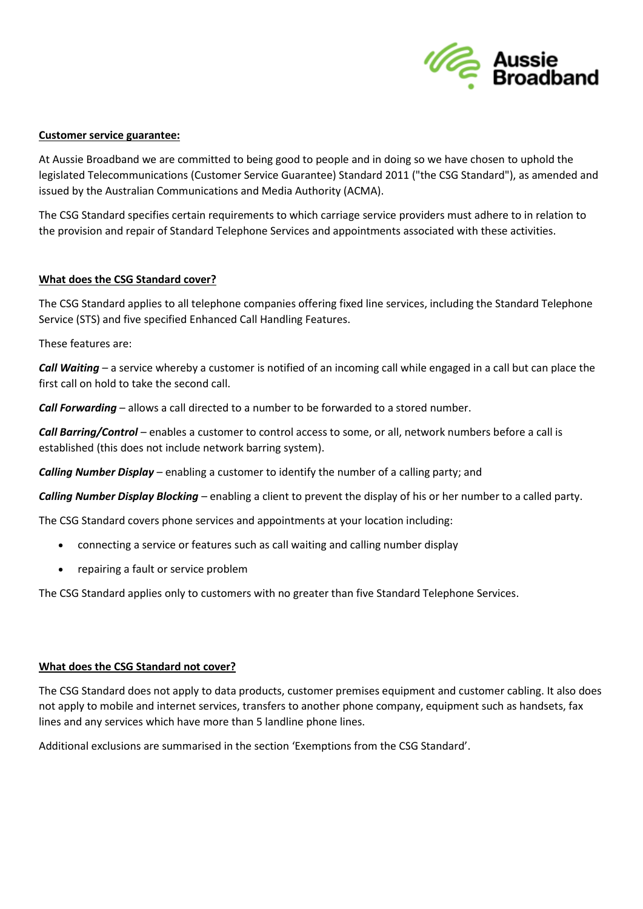

### **Customer service guarantee:**

At Aussie Broadband we are committed to being good to people and in doing so we have chosen to uphold the legislated Telecommunications (Customer Service Guarantee) Standard 2011 ("the CSG Standard"), as amended and issued by the Australian Communications and Media Authority (ACMA).

The CSG Standard specifies certain requirements to which carriage service providers must adhere to in relation to the provision and repair of Standard Telephone Services and appointments associated with these activities.

#### **What does the CSG Standard cover?**

The CSG Standard applies to all telephone companies offering fixed line services, including the Standard Telephone Service (STS) and five specified Enhanced Call Handling Features.

These features are:

*Call Waiting* – a service whereby a customer is notified of an incoming call while engaged in a call but can place the first call on hold to take the second call.

*Call Forwarding* – allows a call directed to a number to be forwarded to a stored number.

*Call Barring/Control* – enables a customer to control access to some, or all, network numbers before a call is established (this does not include network barring system).

*Calling Number Display* – enabling a customer to identify the number of a calling party; and

*Calling Number Display Blocking* – enabling a client to prevent the display of his or her number to a called party.

The CSG Standard covers phone services and appointments at your location including:

- connecting a service or features such as call waiting and calling number display
- repairing a fault or service problem

The CSG Standard applies only to customers with no greater than five Standard Telephone Services.

# **What does the CSG Standard not cover?**

The CSG Standard does not apply to data products, customer premises equipment and customer cabling. It also does not apply to mobile and internet services, transfers to another phone company, equipment such as handsets, fax lines and any services which have more than 5 landline phone lines.

Additional exclusions are summarised in the section 'Exemptions from the CSG Standard'.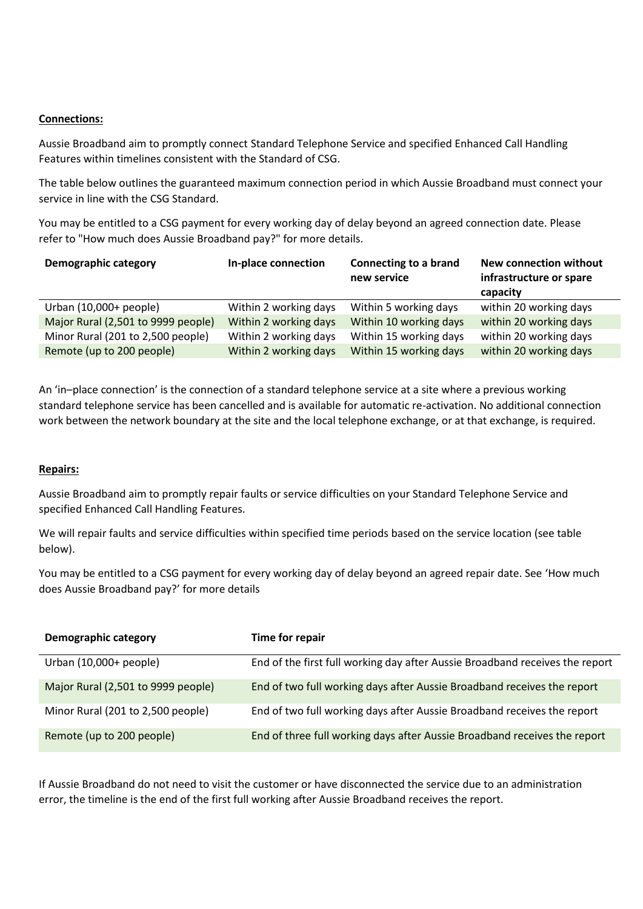### **Connections:**

Aussie Broadband aim to promptly connect Standard Telephone Service and specified Enhanced Call Handling Features within timelines consistent with the Standard of CSG.

The table below outlines the guaranteed maximum connection period in which Aussie Broadband must connect your service in line with the CSG Standard.

You may be entitled to a CSG payment for every working day of delay beyond an agreed connection date. Please refer to "How much does Aussie Broadband pay?" for more details.

| Demographic category               | In-place connection   | Connecting to a brand<br>new service | New connection without<br>infrastructure or spare<br>capacity |
|------------------------------------|-----------------------|--------------------------------------|---------------------------------------------------------------|
| Urban (10,000+ people)             | Within 2 working days | Within 5 working days                | within 20 working days                                        |
| Major Rural (2,501 to 9999 people) | Within 2 working days | Within 10 working days               | within 20 working days                                        |
| Minor Rural (201 to 2,500 people)  | Within 2 working days | Within 15 working days               | within 20 working days                                        |
| Remote (up to 200 people)          | Within 2 working days | Within 15 working days               | within 20 working days                                        |

An 'in–place connection' is the connection of a standard telephone service at a site where a previous working standard telephone service has been cancelled and is available for automatic re-activation. No additional connection work between the network boundary at the site and the local telephone exchange, or at that exchange, is required.

#### **Repairs:**

Aussie Broadband aim to promptly repair faults or service difficulties on your Standard Telephone Service and specified Enhanced Call Handling Features.

We will repair faults and service difficulties within specified time periods based on the service location (see table below).

You may be entitled to a CSG payment for every working day of delay beyond an agreed repair date. See 'How much does Aussie Broadband pay?' for more details

| <b>Demographic category</b>        | Time for repair                                                              |
|------------------------------------|------------------------------------------------------------------------------|
| Urban (10,000+ people)             | End of the first full working day after Aussie Broadband receives the report |
| Major Rural (2,501 to 9999 people) | End of two full working days after Aussie Broadband receives the report      |
| Minor Rural (201 to 2,500 people)  | End of two full working days after Aussie Broadband receives the report      |
| Remote (up to 200 people)          | End of three full working days after Aussie Broadband receives the report    |

If Aussie Broadband do not need to visit the customer or have disconnected the service due to an administration error, the timeline is the end of the first full working after Aussie Broadband receives the report.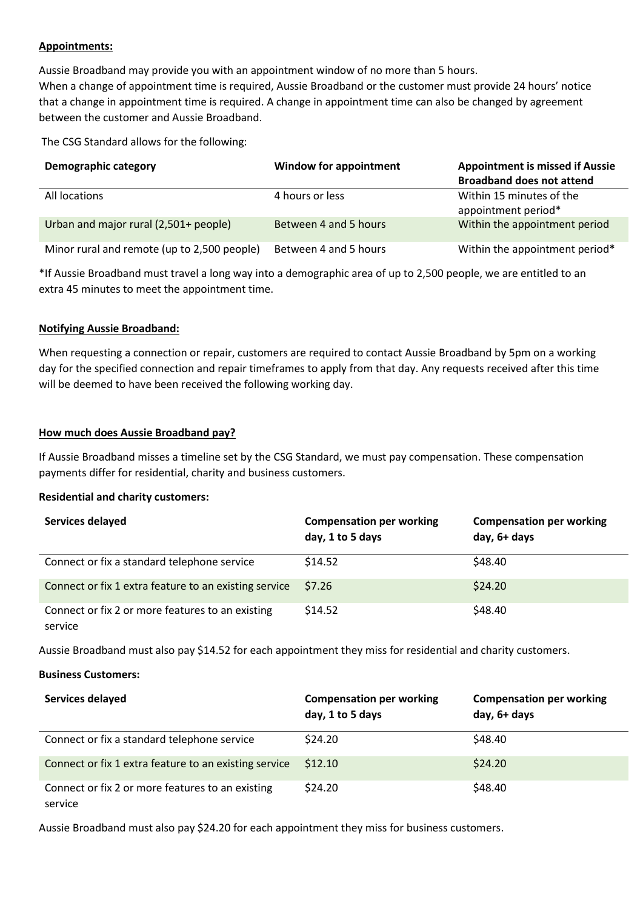# **Appointments:**

Aussie Broadband may provide you with an appointment window of no more than 5 hours. When a change of appointment time is required, Aussie Broadband or the customer must provide 24 hours' notice that a change in appointment time is required. A change in appointment time can also be changed by agreement between the customer and Aussie Broadband.

The CSG Standard allows for the following:

| <b>Demographic category</b>                 | <b>Window for appointment</b> | <b>Appointment is missed if Aussie</b><br><b>Broadband does not attend</b> |
|---------------------------------------------|-------------------------------|----------------------------------------------------------------------------|
| All locations                               | 4 hours or less               | Within 15 minutes of the<br>appointment period*                            |
| Urban and major rural (2,501+ people)       | Between 4 and 5 hours         | Within the appointment period                                              |
| Minor rural and remote (up to 2,500 people) | Between 4 and 5 hours         | Within the appointment period*                                             |

\*If Aussie Broadband must travel a long way into a demographic area of up to 2,500 people, we are entitled to an extra 45 minutes to meet the appointment time.

## **Notifying Aussie Broadband:**

When requesting a connection or repair, customers are required to contact Aussie Broadband by 5pm on a working day for the specified connection and repair timeframes to apply from that day. Any requests received after this time will be deemed to have been received the following working day.

## **How much does Aussie Broadband pay?**

If Aussie Broadband misses a timeline set by the CSG Standard, we must pay compensation. These compensation payments differ for residential, charity and business customers.

#### **Residential and charity customers:**

| Services delayed                                            | <b>Compensation per working</b><br>day, 1 to 5 days | <b>Compensation per working</b><br>day, 6+ days |
|-------------------------------------------------------------|-----------------------------------------------------|-------------------------------------------------|
| Connect or fix a standard telephone service                 | \$14.52                                             | \$48.40                                         |
| Connect or fix 1 extra feature to an existing service       | \$7.26                                              | \$24.20                                         |
| Connect or fix 2 or more features to an existing<br>service | \$14.52                                             | \$48.40                                         |

Aussie Broadband must also pay \$14.52 for each appointment they miss for residential and charity customers.

#### **Business Customers:**

| Services delayed                                            | <b>Compensation per working</b><br>day, 1 to 5 days | <b>Compensation per working</b><br>day, 6+ days |
|-------------------------------------------------------------|-----------------------------------------------------|-------------------------------------------------|
| Connect or fix a standard telephone service                 | \$24.20                                             | \$48.40                                         |
| Connect or fix 1 extra feature to an existing service       | \$12.10                                             | \$24.20                                         |
| Connect or fix 2 or more features to an existing<br>service | \$24.20                                             | \$48.40                                         |

Aussie Broadband must also pay \$24.20 for each appointment they miss for business customers.